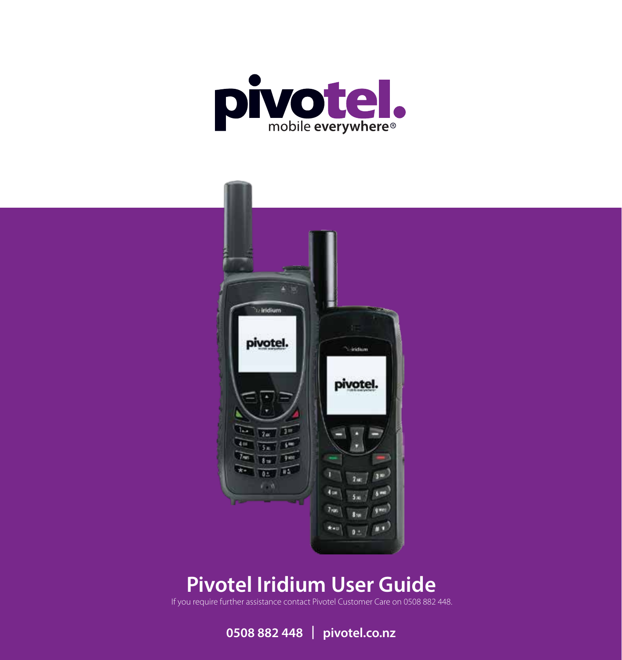



# **Pivotel Iridium User Guide**

If you require further assistance contact Pivotel Customer Care on 0508 882 448.

**0508 882 448 | pivotel.co.nz**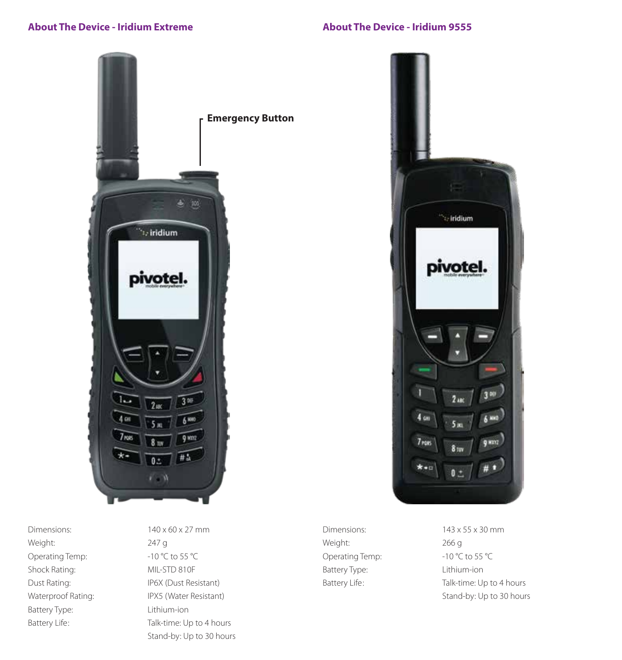# **About The Device - Iridium Extreme**

**About The Device - Iridium 9555**



Dimensions:  $140 \times 60 \times 27$  mm Weight: 247 g Operating Temp: -10 °C to 55 °C Shock Rating: MIL-STD 810F Battery Type: Lithium-ion

Dust Rating: IP6X (Dust Resistant) Waterproof Rating: IPX5 (Water Resistant) Battery Life: Talk-time: Up to 4 hours Stand-by: Up to 30 hours



Dimensions: 143 x 55 x 30 mm Weight: 266 g Operating Temp: -10 °C to 55 °C Battery Type: Lithium-ion

Battery Life: Talk-time: Up to 4 hours Stand-by: Up to 30 hours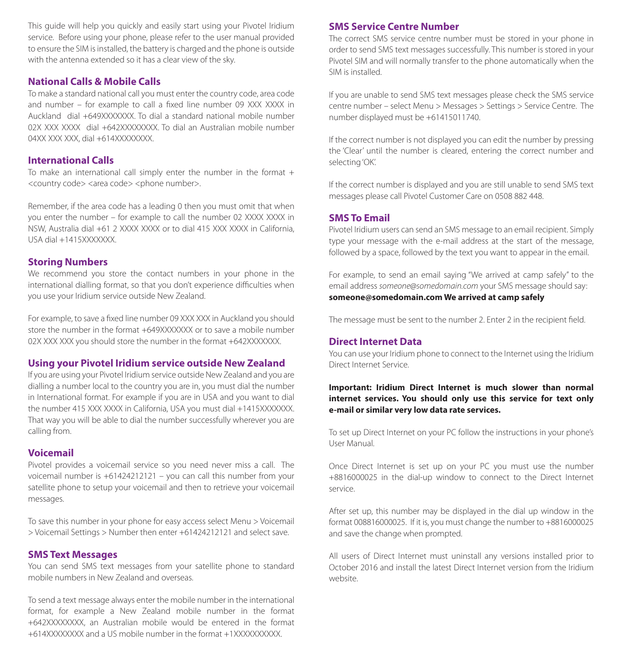This guide will help you quickly and easily start using your Pivotel Iridium service. Before using your phone, please refer to the user manual provided to ensure the SIM is installed, the battery is charged and the phone is outside with the antenna extended so it has a clear view of the sky.

#### **National Calls & Mobile Calls**

To make a standard national call you must enter the country code, area code and number – for example to call a fixed line number 09 XXX XXXX in Auckland dial +649XXXXXXX. To dial a standard national mobile number 02X XXX XXXX dial +642XXXXXXXX. To dial an Australian mobile number 04XX XXX XXX, dial +614XXXXXXXX.

#### **International Calls**

To make an international call simply enter the number in the format  $+$ <country code> <area code> <phone number>.

Remember, if the area code has a leading 0 then you must omit that when you enter the number – for example to call the number 02 XXXX XXXX in NSW, Australia dial +61 2 XXXX XXXX or to dial 415 XXX XXXX in California, USA dial +1415XXXXXXX.

#### **Storing Numbers**

We recommend you store the contact numbers in your phone in the international dialling format, so that you don't experience difficulties when you use your Iridium service outside New Zealand.

For example, to save a fixed line number 09 XXX XXX in Auckland you should store the number in the format +649XXXXXX or to save a mobile number 02X XXX XXX you should store the number in the format +642XXXXXXX.

#### **Using your Pivotel Iridium service outside New Zealand**

If you are using your Pivotel Iridium service outside New Zealand and you are dialling a number local to the country you are in, you must dial the number in International format. For example if you are in USA and you want to dial the number 415 XXX XXXX in California, USA you must dial +1415XXXXXXX. That way you will be able to dial the number successfully wherever you are calling from.

### **Voicemail**

Pivotel provides a voicemail service so you need never miss a call. The voicemail number is +61424212121 – you can call this number from your satellite phone to setup your voicemail and then to retrieve your voicemail messages.

To save this number in your phone for easy access select Menu > Voicemail > Voicemail Settings > Number then enter +61424212121 and select save.

#### **SMS Text Messages**

You can send SMS text messages from your satellite phone to standard mobile numbers in New Zealand and overseas.

To send a text message always enter the mobile number in the international format, for example a New Zealand mobile number in the format +642XXXXXXXX, an Australian mobile would be entered in the format +614XXXXXXXX and a US mobile number in the format +1XXXXXXXXXX.

# **SMS Service Centre Number**

The correct SMS service centre number must be stored in your phone in order to send SMS text messages successfully. This number is stored in your Pivotel SIM and will normally transfer to the phone automatically when the SIM is installed.

If you are unable to send SMS text messages please check the SMS service centre number – select Menu > Messages > Settings > Service Centre. The number displayed must be +61415011740.

If the correct number is not displayed you can edit the number by pressing the 'Clear' until the number is cleared, entering the correct number and selecting 'OK'.

If the correct number is displayed and you are still unable to send SMS text messages please call Pivotel Customer Care on 0508 882 448.

#### **SMS To Email**

Pivotel Iridium users can send an SMS message to an email recipient. Simply type your message with the e-mail address at the start of the message, followed by a space, followed by the text you want to appear in the email.

For example, to send an email saying "We arrived at camp safely" to the email address *someone@somedomain.com* your SMS message should say: **someone@somedomain.com We arrived at camp safely**

The message must be sent to the number 2. Enter 2 in the recipient field.

#### **Direct Internet Data**

You can use your Iridium phone to connect to the Internet using the Iridium Direct Internet Service.

#### **Important: Iridium Direct Internet is much slower than normal internet services. You should only use this service for text only e-mail or similar very low data rate services.**

To set up Direct Internet on your PC follow the instructions in your phone's User Manual.

Once Direct Internet is set up on your PC you must use the number +8816000025 in the dial-up window to connect to the Direct Internet service.

After set up, this number may be displayed in the dial up window in the format 008816000025. If it is, you must change the number to +8816000025 and save the change when prompted.

All users of Direct Internet must uninstall any versions installed prior to October 2016 and install the latest Direct Internet version from the Iridium website.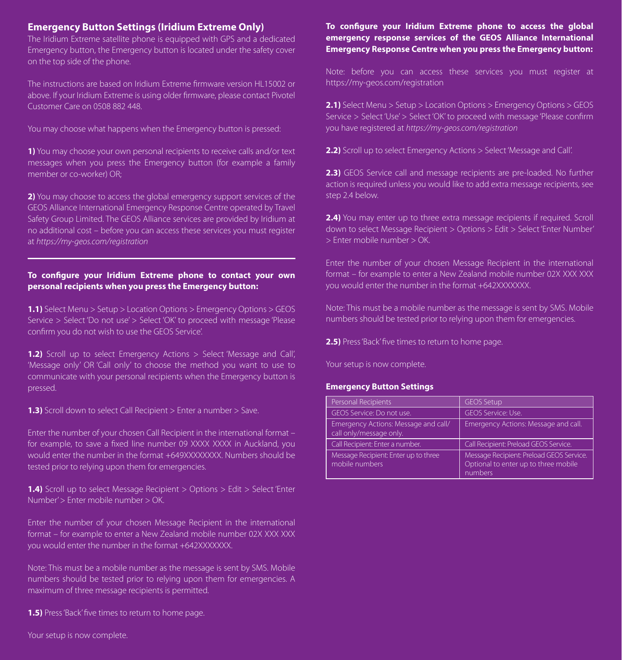## **Emergency Button Settings (Iridium Extreme Only)**

The Iridium Extreme satellite phone is equipped with GPS and a dedicated Emergency button, the Emergency button is located under the safety cover on the top side of the phone.

The instructions are based on Iridium Extreme firmware version HL15002 or above. If your Iridium Extreme is using older firmware, please contact Pivotel Customer Care on 0508 882 448.

You may choose what happens when the Emergency button is pressed:

**1)** You may choose your own personal recipients to receive calls and/or text messages when you press the Emergency button (for example a family member or co-worker) OR;

**2)** You may choose to access the global emergency support services of the GEOS Alliance International Emergency Response Centre operated by Travel Safety Group Limited. The GEOS Alliance services are provided by Iridium at no additional cost – before you can access these services you must register at *https://my-geos.com/registration*

#### To configure your Iridium Extreme phone to contact your own **personal recipients when you press the Emergency button:**

**1.1)** Select Menu > Setup > Location Options > Emergency Options > GEOS Service > Select 'Do not use' > Select 'OK' to proceed with message 'Please confirm you do not wish to use the GEOS Service'.

**1.2)** Scroll up to select Emergency Actions > Select 'Message and Call'. 'Message only' OR 'Call only' to choose the method you want to use to communicate with your personal recipients when the Emergency button is pressed.

**1.3)** Scroll down to select Call Recipient > Enter a number > Save.

Enter the number of your chosen Call Recipient in the international format – for example, to save a fixed line number 09 XXXX XXXX in Auckland, you would enter the number in the format +649XXXXXXXX. Numbers should be tested prior to relying upon them for emergencies.

**1.4)** Scroll up to select Message Recipient > Options > Edit > Select 'Enter Number' > Enter mobile number > OK.

Enter the number of your chosen Message Recipient in the international format – for example to enter a New Zealand mobile number 02X XXX XXX you would enter the number in the format +642XXXXXXX.

Note: This must be a mobile number as the message is sent by SMS. Mobile numbers should be tested prior to relying upon them for emergencies. A maximum of three message recipients is permitted.

**1.5)** Press 'Back' five times to return to home page.

#### To configure your Iridium Extreme phone to access the global **emergency response services of the GEOS Alliance International Emergency Response Centre when you press the Emergency button:**

Note: before you can access these services you must register at https://my-geos.com/registration

**2.1)** Select Menu > Setup > Location Options > Emergency Options > GEOS Service > Select 'Use' > Select 'OK' to proceed with message 'Please confirm you have registered at *https://my-geos.com/registration*

**2.2)** Scroll up to select Emergency Actions > Select 'Message and Call'.

**2.3)** GEOS Service call and message recipients are pre-loaded. No further action is required unless you would like to add extra message recipients, see step 2.4 below.

**2.4)** You may enter up to three extra message recipients if required. Scroll down to select Message Recipient > Options > Edit > Select 'Enter Number' > Enter mobile number > OK.

Enter the number of your chosen Message Recipient in the international format – for example to enter a New Zealand mobile number 02X XXX XXX you would enter the number in the format +642XXXXXXX.

Note: This must be a mobile number as the message is sent by SMS. Mobile numbers should be tested prior to relying upon them for emergencies.

**2.5)** Press 'Back' five times to return to home page.

Your setup is now complete.

#### **Emergency Button Settings**

| Personal Recipients                                             | <b>GEOS Setup</b>                                                                           |
|-----------------------------------------------------------------|---------------------------------------------------------------------------------------------|
| GEOS Service: Do not use.                                       | GEOS Service: Use.                                                                          |
| Emergency Actions: Message and call/<br>call only/message only. | Emergency Actions: Message and call.                                                        |
| Call Recipient: Enter a number.                                 | Call Recipient: Preload GEOS Service.                                                       |
| Message Recipient: Enter up to three<br>mobile numbers          | Message Recipient: Preload GEOS Service.<br>Optional to enter up to three mobile<br>numbers |

Your setup is now complete.